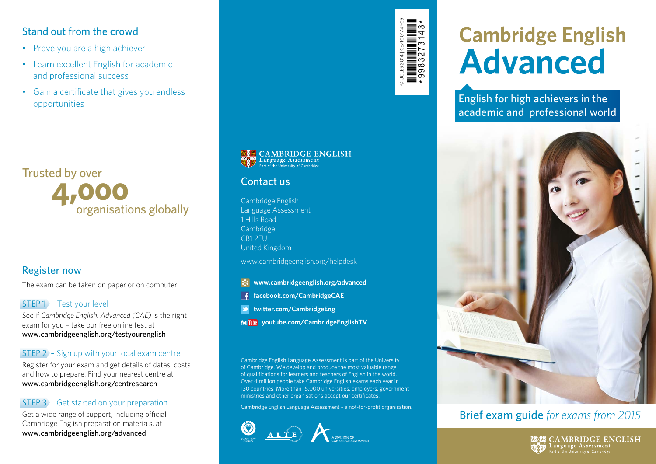#### Stand out from the crowd

- Prove you are a high achiever
- Learn excellent English for academic and professional success
- Gain a certificate that gives you endless opportunities

## Trusted by over **4,000** organisations globally

#### Register now

The exam can be taken on paper or on computer.

#### STEP 1 – Test your level

See if *Cambridge English: Advanced (CAE)* is the right exam for you – take our free online test at www.cambridgeenglish.org/testyourenglish

#### STEP 2 – Sign up with your local exam centre

Register for your exam and get details of dates, costs and how to prepare. Find your nearest centre at www.cambridgeenglish.org/centresearch

#### STEP 3 – Get started on your preparation

Get a wide range of support, including official Cambridge English preparation materials, at www.cambridgeenglish.org/advanced



# **Cambridge English Advanced**

English for high achievers in the academic and professional world



### Brief exam guide *for exams from 2015*





#### Contact us

Cambridge English Language Assessment 1 Hills Road Cambridge CB1 2EU United Kingdom

www.cambridgeenglish.org/helpdesk

- **www.cambridgeenglish.org/advanced**
- **facebook.com/CambridgeCAE** L f
- **twitter.com/CambridgeEng**
- **youtube.com/CambridgeEnglishTV**

Cambridge English Language Assessment is part of the University of Cambridge. We develop and produce the most valuable range of qualifications for learners and teachers of English in the world. Over 4 million people take Cambridge English exams each year in 130 countries. More than 15,000 universities, employers, government ministries and other organisations accept our certificates.

Cambridge English Language Assessment – a not-for-profit organisation.